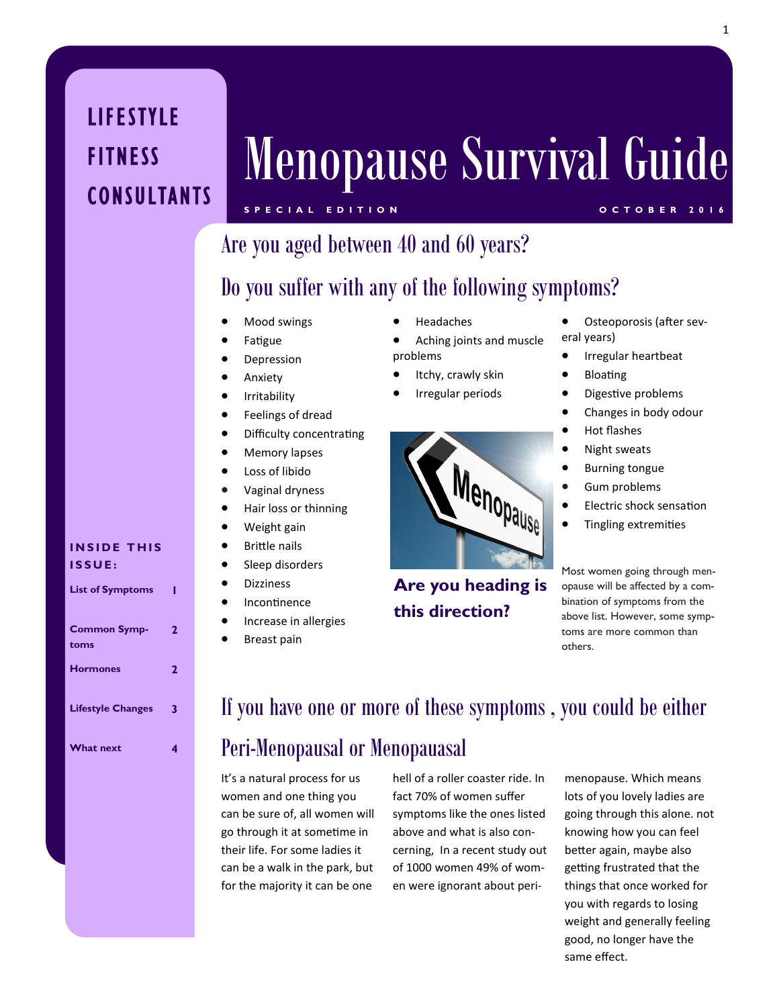## **LIFESTYLE** FITNESS **CONSULTANTS**

# Menopause Survival Guide

## **S P E C I A L E D I T I O N O C T O B E R 2 0 1 6**

## Are you aged between 40 and 60 years?

## Do you suffer with any of the following symptoms?

- Mood swings
- Fatigue
- Depression
- **•** Anxiety
- **•** Irritability
- **•** Feelings of dread
- Difficulty concentrating
- Memory lapses
- Loss of libido
- Vaginal dryness
- Hair loss or thinning
- Weight gain
- Brittle nails
- Sleep disorders
- **•** Dizziness
- Incontinence
- **•** Increase in allergies
- Breast pain
- Headaches
- Aching joints and muscle problems
- Itchy, crawly skin
- Irregular periods



**Are you heading is this direction?**

- Osteoporosis (after several years)
- Irregular heartbeat
- Bloating
	- Digestive problems
- Changes in body odour
- Hot flashes
- Night sweats
- Burning tongue
- Gum problems
- Electric shock sensation
- Tingling extremities

Most women going through menopause will be affected by a combination of symptoms from the above list. However, some symptoms are more common than others.

#### **INSIDE THIS I S S U E :**

| <b>List of Symptoms</b>     |   |
|-----------------------------|---|
| <b>Common Symp-</b><br>toms | 2 |
| <b>Hormones</b>             | 2 |
| <b>Lifestyle Changes</b>    | 3 |
| <b>What next</b>            |   |

## If you have one or more of these symptoms , you could be either

## Peri-Menopausal or Menopauasal

It's a natural process for us women and one thing you can be sure of, all women will go through it at sometime in their life. For some ladies it can be a walk in the park, but for the majority it can be one

hell of a roller coaster ride. In fact 70% of women suffer symptoms like the ones listed above and what is also concerning, In a recent study out of 1000 women 49% of women were ignorant about peri-

menopause. Which means lots of you lovely ladies are going through this alone. not knowing how you can feel better again, maybe also getting frustrated that the things that once worked for you with regards to losing weight and generally feeling good, no longer have the same effect.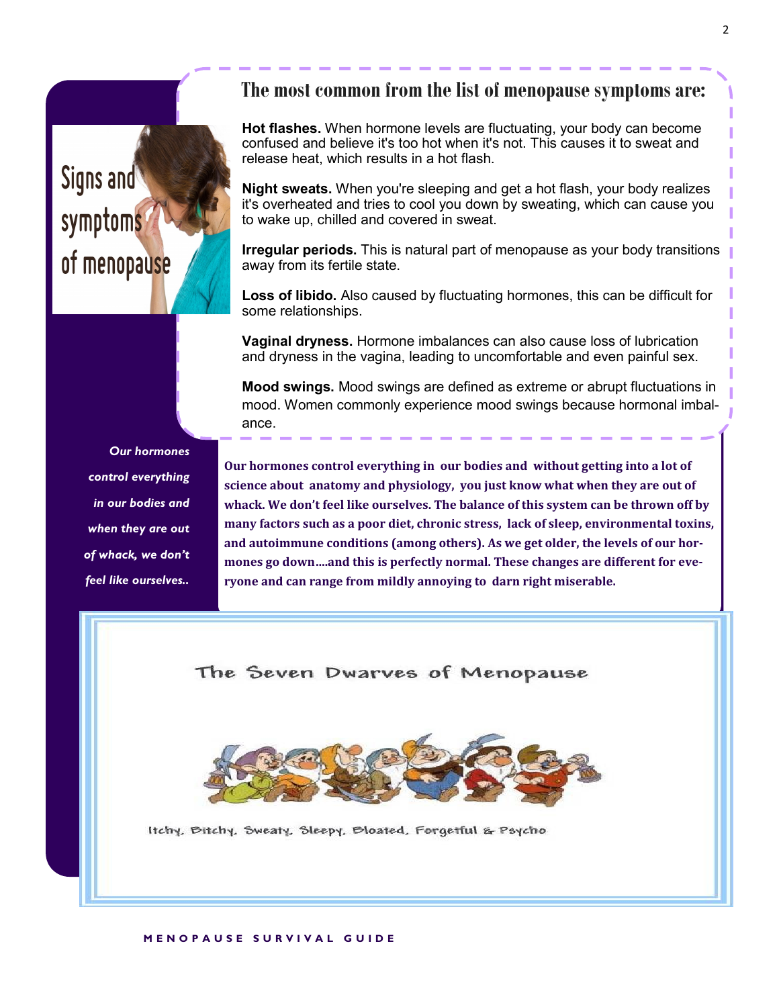## Signs and symptoms of menopause

### **The most common from the list of menopause symptoms are:**

**Hot flashes.** When hormone levels are fluctuating, your body can become confused and believe it's too hot when it's not. This causes it to sweat and release heat, which results in a hot flash.

**Night sweats.** When you're sleeping and get a hot flash, your body realizes it's overheated and tries to cool you down by sweating, which can cause you to wake up, chilled and covered in sweat.

**Irregular periods.** This is natural part of menopause as your body transitions away from its fertile state.

**Loss of libido.** Also caused by fluctuating hormones, this can be difficult for some relationships.

**Vaginal dryness.** Hormone imbalances can also cause loss of lubrication and dryness in the vagina, leading to uncomfortable and even painful sex.

**Mood swings.** Mood swings are defined as extreme or abrupt fluctuations in mood. Women commonly experience mood swings because hormonal imbalance.

*Our hormones control everything in our bodies and when they are out of whack, we don't feel like ourselves..*

**Our hormones control everything in our bodies and without getting into a lot of science about anatomy and physiology, you just know what when they are out of whack. We don't feel like ourselves. The balance of this system can be thrown off by many factors such as a poor diet, chronic stress, lack of sleep, environmental toxins, and autoimmune conditions (among others). As we get older, the levels of our hormones go down….and this is perfectly normal. These changes are different for everyone and can range from mildly annoying to darn right miserable.**

#### The Seven Dwarves of Menopause



Itchy, Bitchy, Sweaty, Sleepy, Bloated, Forgetful & Psycho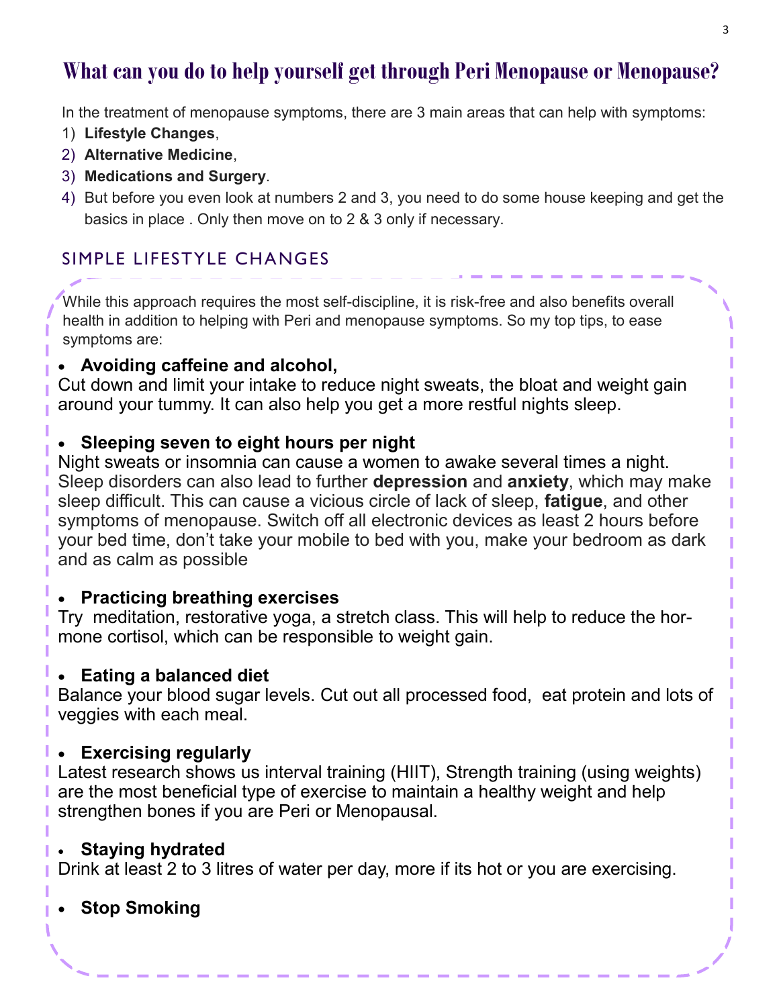## **What can you do to help yourself get through Peri Menopause or Menopause?**

In the treatment of menopause symptoms, there are 3 main areas that can help with symptoms:

- 1) **Lifestyle Changes**,
- 2) **Alternative Medicine**,
- 3) **Medications and Surgery**.
- 4) But before you even look at numbers 2 and 3, you need to do some house keeping and get the basics in place . Only then move on to 2 & 3 only if necessary.

## SIMPLE LIFESTYLE CHANGES

While this approach requires the most self-discipline, it is risk-free and also benefits overall health in addition to helping with Peri and menopause symptoms. So my top tips, to ease symptoms are:

## **Avoiding caffeine and alcohol,**

Cut down and limit your intake to reduce night sweats, the bloat and weight gain around your tummy. It can also help you get a more restful nights sleep.

## **Sleeping seven to eight hours per night**

Night sweats or insomnia can cause a women to awake several times a night. Sleep disorders can also lead to further **depression** and **anxiety**, which may make sleep difficult. This can cause a vicious circle of lack of sleep, **fatigue**, and other symptoms of menopause. Switch off all electronic devices as least 2 hours before your bed time, don't take your mobile to bed with you, make your bedroom as dark and as calm as possible

### **Practicing breathing exercises**

Try meditation, restorative yoga, a stretch class. This will help to reduce the hormone cortisol, which can be responsible to weight gain.

### **Eating a balanced diet**

Balance your blood sugar levels. Cut out all processed food, eat protein and lots of veggies with each meal.

### **Exercising regularly**

Latest research shows us interval training (HIIT), Strength training (using weights) are the most beneficial type of exercise to maintain a healthy weight and help strengthen bones if you are Peri or Menopausal.

### **Staying hydrated**

Drink at least 2 to 3 litres of water per day, more if its hot or you are exercising.

## **Stop Smoking**